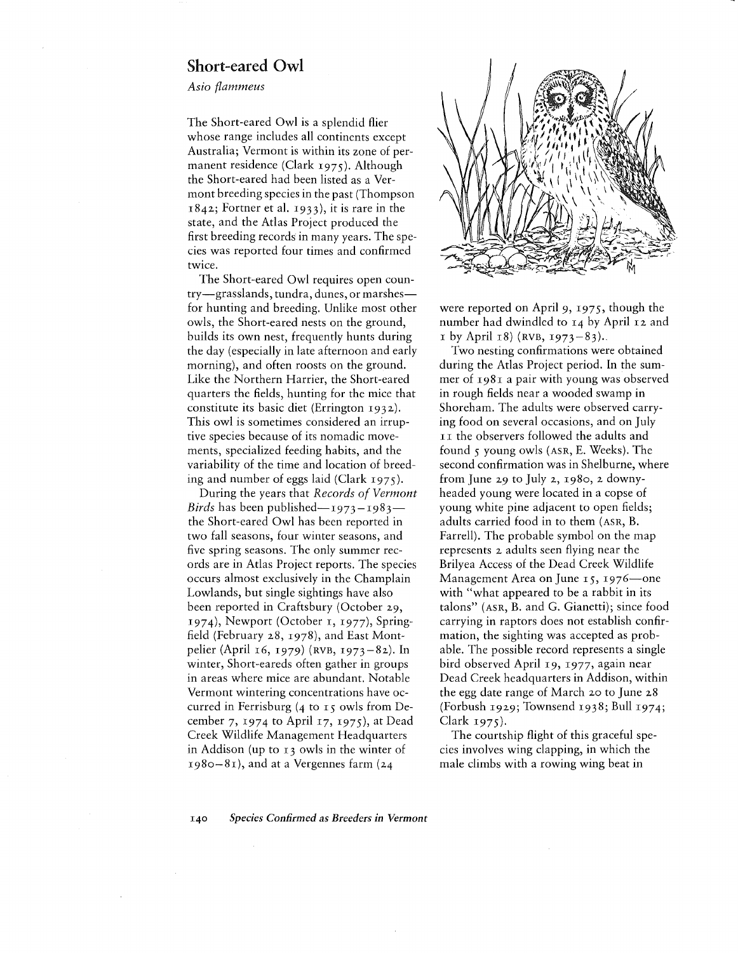## Short-eared **Owl**

*Asia flammeus*

The Short-eared Owl is a splendid flier whose range includes all continents except Australia; Vermont is within its zone of permanent residence (Clark 1975). Although the Short-eared had been listed as a Vermont breeding species in the past (Thompson  $1842$ ; Fortner et al. 1933), it is rare in the state, and the Atlas Project produced the first breeding records in many years. The species was reported four times and confirmed twice.

The Short-eared Owl requires open country-grasslands, tundra, dunes, or marshesfor hunting and breeding. Unlike most other owls, the Short-eared nests on the ground, builds its own nest, frequently hunts during the day (especially in late afternoon and early morning), and often roosts on the ground. Like the Northern Harrier, the Short-eared quarters the fields, hunting for the mice that constitute its basic diet (Errington 1932). This owl is sometimes considered an irruptive species because of its nomadic movements, specialized feeding habits, and the variability of the time and location of breeding and number of eggs laid (Clark 1975).

During the years that *Records of Vermont Birds* has been published—1973–1983– the Short-eared Owl has been reported in two fall seasons, four winter seasons, and five spring seasons. The only summer records are in Atlas Project reports. The species occurs almost exclusively in the Champlain Lowlands, but single sightings have also been reported in Craftsbury (October 29, 1974), Newport (October I, 1977), Springfield (February 28, 1978), and East Montpelier (April 16, 1979) (RVB, 1973-82). In winter, Short-eareds often gather in groups in areas where mice are abundant. Notable Vermont wintering concentrations have occurred in Ferrisburg (4 to 15 owls from December 7, 1974 to April 17, 1975), at Dead Creek Wildlife Management Headquarters in Addison (up to 13 owls in the winter of  $1980-81$ , and at a Vergennes farm (24



were reported on April 9, 1975, though the number had dwindled to 14 by April 12 and  $I$  by April 18) (RVB, 1973-83).

Two nesting confirmations were obtained during the Atlas Project period. In the summer of 1981 a pair with young was observed in rough fields near a wooded swamp in Shoreham. The adults were observed carrying food on several occasions, and on July II the observers followed the adults and found 5 young owls (ASR, E. Weeks). The second confirmation was in Shelburne, where from June 29 to July 2, 1980, 2 downyheaded young were located in a copse of young white pine adjacent to open fields; adults carried food in to them (ASR, B. Farrell). The probable symbol on the map represents 2 adults seen flying near the Brilyea Access of the Dead Creek Wildlife Management Area on June  $15$ ,  $1976$  one with "what appeared to be a rabbit in its talons" (ASR, B. and G. Gianetti); since food carrying in raptors does not establish confirmation, the sighting was accepted as probable. The possible record represents a single bird observed April 19, 1977, again near Dead Creek headquarters in Addison, within the egg date range of March 20 to June 28 (Forbush 1929; Townsend 1938; Bull 1974; Clark 1975).

The courtship flight of this graceful species involves wing clapping, in which the male climbs with a rowing wing beat in

*140 Species Confirmed as Breeders in Vermont*